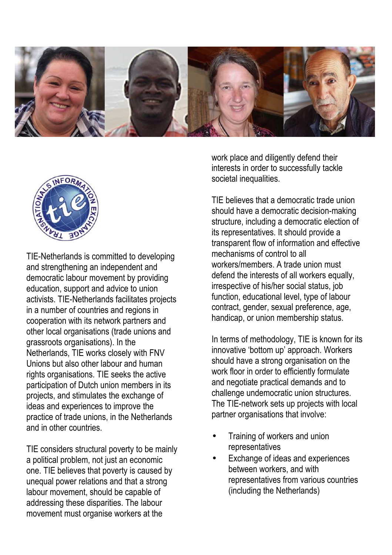



TIE-Netherlands is committed to developing and strengthening an independent and democratic labour movement by providing education, support and advice to union activists. TIE-Netherlands facilitates projects in a number of countries and regions in cooperation with its network partners and other local organisations (trade unions and grassroots organisations). In the Netherlands, TIE works closely with FNV Unions but also other labour and human rights organisations. TIE seeks the active participation of Dutch union members in its projects, and stimulates the exchange of ideas and experiences to improve the practice of trade unions, in the Netherlands and in other countries.

TIE considers structural poverty to be mainly a political problem, not just an economic one. TIE believes that poverty is caused by unequal power relations and that a strong labour movement, should be capable of addressing these disparities. The labour movement must organise workers at the

work place and diligently defend their interests in order to successfully tackle societal inequalities.

TIE believes that a democratic trade union should have a democratic decision-making structure, including a democratic election of its representatives. It should provide a transparent flow of information and effective mechanisms of control to all workers/members. A trade union must defend the interests of all workers equally. irrespective of his/her social status, job function, educational level, type of labour contract, gender, sexual preference, age, handicap, or union membership status.

In terms of methodology, TIE is known for its innovative 'bottom up' approach. Workers should have a strong organisation on the work floor in order to efficiently formulate and negotiate practical demands and to challenge undemocratic union structures. The TIE-network sets up projects with local partner organisations that involve:

- Training of workers and union representatives
- Exchange of ideas and experiences between workers, and with representatives from various countries (including the Netherlands)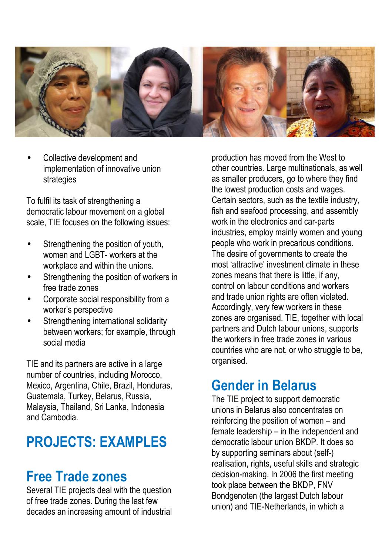

Collective development and implementation of innovative union strategies

To fulfil its task of strengthening a democratic labour movement on a global scale, TIE focuses on the following issues:

- Strengthening the position of youth, women and LGBT- workers at the workplace and within the unions.
- Strengthening the position of workers in free trade zones
- Corporate social responsibility from a worker's perspective
- Strengthening international solidarity between workers; for example, through social media

TIE and its partners are active in a large number of countries, including Morocco, Mexico, Argentina, Chile, Brazil, Honduras, Guatemala, Turkey, Belarus, Russia, Malaysia, Thailand, Sri Lanka, Indonesia and Cambodia.

# **PROJECTS: EXAMPLES**

#### **Free Trade zones**

Several TIE projects deal with the question of free trade zones. During the last few decades an increasing amount of industrial production has moved from the West to other countries. Large multinationals, as well as smaller producers, go to where they find the lowest production costs and wages. Certain sectors, such as the textile industry, fish and seafood processing, and assembly work in the electronics and car-parts industries, employ mainly women and young people who work in precarious conditions. The desire of governments to create the most 'attractive' investment climate in these zones means that there is little, if any, control on labour conditions and workers and trade union rights are often violated. Accordingly, very few workers in these zones are organised. TIE, together with local partners and Dutch labour unions, supports the workers in free trade zones in various countries who are not, or who struggle to be, organised.

## **Gender in Belarus**

The TIE project to support democratic unions in Belarus also concentrates on reinforcing the position of women – and female leadership – in the independent and democratic labour union BKDP. It does so by supporting seminars about (self-) realisation, rights, useful skills and strategic decision-making. In 2006 the first meeting took place between the BKDP, FNV Bondgenoten (the largest Dutch labour union) and TIE-Netherlands, in which a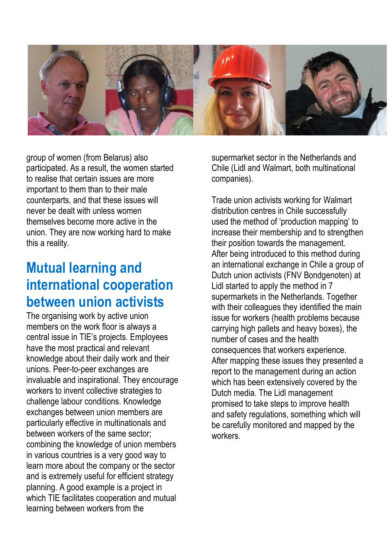

group of women (from Belarus) also participated. As a result, the women started to realise that certain issues are more important to them than to their male counterparts, and that these issues will never be dealt with unless women themselves become more active in the union. They are now working hard to make this a reality.

## **Mutual learning and international cooperation between union activists**

The organising work by active union members on the work floor is always a central issue in TIE's projects. Employees have the most practical and relevant knowledge about their daily work and their unions. Peer-to-peer exchanges are invaluable and inspirational. They encourage workers to invent collective strategies to challenge labour conditions. Knowledge exchanges between union members are particularly effective in multinationals and between workers of the same sector; combining the knowledge of union members in various countries is a very good way to learn more about the company or the sector and is extremely useful for efficient strategy planning. A good example is a project in which TIE facilitates cooperation and mutual learning between workers from the

supermarket sector in the Netherlands and Chile (Lidl and Walmart, both multinational companies).

Trade union activists working for Walmart distribution centres in Chile successfully used the method of 'production mapping' to increase their membership and to strengthen their position towards the management. After being introduced to this method during an international exchange in Chile a group of Dutch union activists (FNV Bondgenoten) at Lidl started to apply the method in 7 supermarkets in the Netherlands. Together with their colleagues they identified the main issue for workers (health problems because carrying high pallets and heavy boxes), the number of cases and the health consequences that workers experience. After mapping these issues they presented a report to the management during an action which has been extensively covered by the Dutch media. The Lidl management promised to take steps to improve health and safety regulations, something which will be carefully monitored and mapped by the workers.